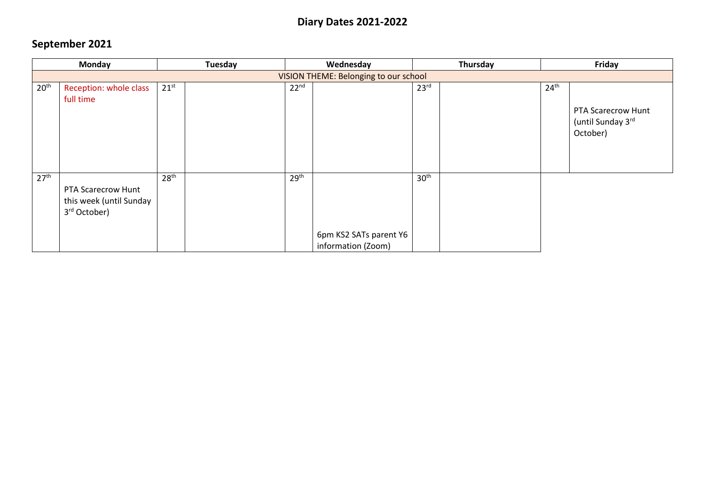### **Diary Dates 2021-2022**

### **September 2021**

|                  | <b>Monday</b>                                                             |                  | Tuesday | Thursday<br>Wednesday |                                              | Friday           |                  |                                                     |
|------------------|---------------------------------------------------------------------------|------------------|---------|-----------------------|----------------------------------------------|------------------|------------------|-----------------------------------------------------|
|                  |                                                                           |                  |         |                       | VISION THEME: Belonging to our school        |                  |                  |                                                     |
| 20 <sup>th</sup> | Reception: whole class<br>full time                                       | $21^{st}$        |         | 22 <sup>nd</sup>      |                                              | 23 <sup>rd</sup> | 24 <sup>th</sup> | PTA Scarecrow Hunt<br>(until Sunday 3rd<br>October) |
| 27 <sup>th</sup> | PTA Scarecrow Hunt<br>this week (until Sunday<br>3 <sup>rd</sup> October) | 28 <sup>th</sup> |         | 29 <sup>th</sup>      | 6pm KS2 SATs parent Y6<br>information (Zoom) | 30 <sup>th</sup> |                  |                                                     |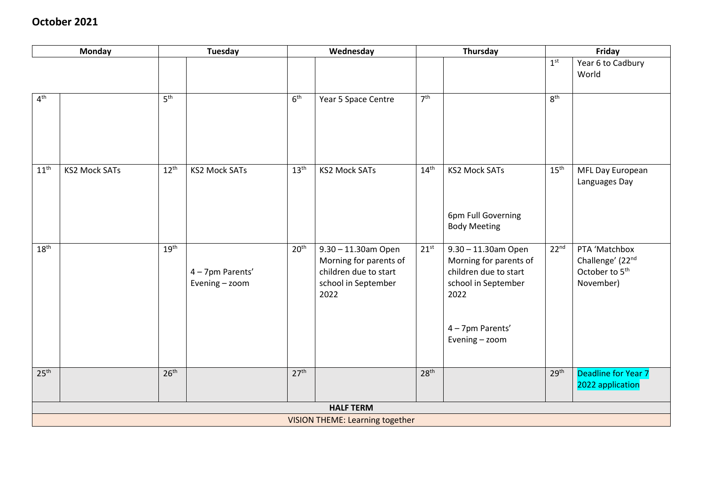#### **October 2021**

|                  | <b>Monday</b>        | Tuesday          |                                  | Wednesday        |                                                                                                       | Thursday         |                                                                                                                                             | Friday           |                                                                              |  |
|------------------|----------------------|------------------|----------------------------------|------------------|-------------------------------------------------------------------------------------------------------|------------------|---------------------------------------------------------------------------------------------------------------------------------------------|------------------|------------------------------------------------------------------------------|--|
|                  |                      |                  |                                  |                  |                                                                                                       |                  |                                                                                                                                             | 1 <sup>st</sup>  | Year 6 to Cadbury<br>World                                                   |  |
| 4 <sup>th</sup>  |                      | 5 <sup>th</sup>  |                                  | 6 <sup>th</sup>  | Year 5 Space Centre                                                                                   | 7 <sup>th</sup>  |                                                                                                                                             | 8 <sup>th</sup>  |                                                                              |  |
| $11^{\text{th}}$ | <b>KS2 Mock SATs</b> | $12^{th}$        | <b>KS2 Mock SATs</b>             | 13 <sup>th</sup> | <b>KS2 Mock SATs</b>                                                                                  | 14 <sup>th</sup> | <b>KS2 Mock SATs</b><br>6pm Full Governing<br><b>Body Meeting</b>                                                                           | 15 <sup>th</sup> | MFL Day European<br>Languages Day                                            |  |
| 18 <sup>th</sup> |                      | 19 <sup>th</sup> | 4-7pm Parents'<br>Evening - zoom | 20 <sup>th</sup> | 9.30 - 11.30am Open<br>Morning for parents of<br>children due to start<br>school in September<br>2022 | 21 <sup>st</sup> | 9.30 - 11.30am Open<br>Morning for parents of<br>children due to start<br>school in September<br>2022<br>4 - 7pm Parents'<br>Evening - zoom | 22 <sup>nd</sup> | PTA 'Matchbox<br>Challenge' (22nd<br>October to 5 <sup>th</sup><br>November) |  |
| 25 <sup>th</sup> |                      | 26 <sup>th</sup> |                                  | 27 <sup>th</sup> |                                                                                                       | 28 <sup>th</sup> |                                                                                                                                             | 29 <sup>th</sup> | Deadline for Year 7<br>2022 application                                      |  |
|                  | <b>HALF TERM</b>     |                  |                                  |                  |                                                                                                       |                  |                                                                                                                                             |                  |                                                                              |  |
|                  |                      |                  |                                  |                  | <b>VISION THEME: Learning together</b>                                                                |                  |                                                                                                                                             |                  |                                                                              |  |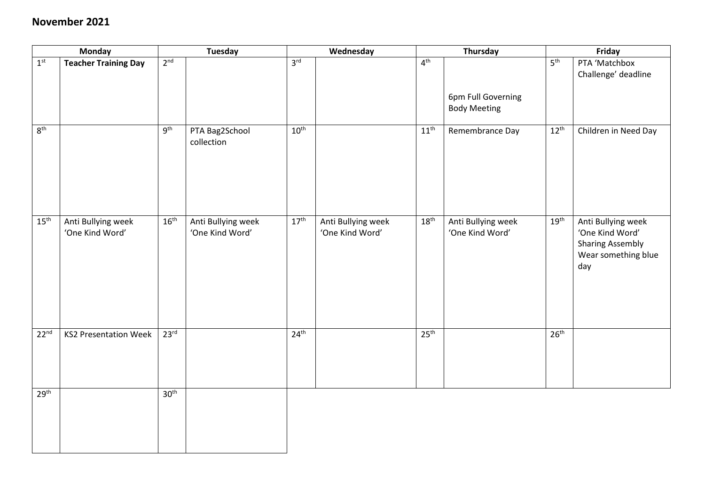#### **November 2021**

|                          | <b>Monday</b>                         |                  | <b>Tuesday</b>                        |                  | Wednesday                             |                  | Thursday                                  |                  | Friday                                                                                         |  |
|--------------------------|---------------------------------------|------------------|---------------------------------------|------------------|---------------------------------------|------------------|-------------------------------------------|------------------|------------------------------------------------------------------------------------------------|--|
| $\mathbf{1}^{\text{st}}$ | <b>Teacher Training Day</b>           | 2 <sup>nd</sup>  |                                       | 3 <sup>rd</sup>  |                                       | 4 <sup>th</sup>  |                                           | 5 <sup>th</sup>  | PTA 'Matchbox<br>Challenge' deadline                                                           |  |
|                          |                                       |                  |                                       |                  |                                       |                  | 6pm Full Governing<br><b>Body Meeting</b> |                  |                                                                                                |  |
| 8 <sup>th</sup>          |                                       | 9 <sup>th</sup>  | PTA Bag2School<br>collection          | 10 <sup>th</sup> |                                       | 11 <sup>th</sup> | Remembrance Day                           | $12^{\text{th}}$ | Children in Need Day                                                                           |  |
| 15 <sup>th</sup>         | Anti Bullying week<br>'One Kind Word' | $16^{\text{th}}$ | Anti Bullying week<br>'One Kind Word' | 17 <sup>th</sup> | Anti Bullying week<br>'One Kind Word' | 18 <sup>th</sup> | Anti Bullying week<br>'One Kind Word'     | $19^{\text{th}}$ | Anti Bullying week<br>'One Kind Word'<br><b>Sharing Assembly</b><br>Wear something blue<br>day |  |
| 22 <sup>nd</sup>         | <b>KS2 Presentation Week</b>          | 23 <sup>rd</sup> |                                       | $24^{\text{th}}$ |                                       | 25 <sup>th</sup> |                                           | 26 <sup>th</sup> |                                                                                                |  |
| 29 <sup>th</sup>         |                                       | 30 <sup>th</sup> |                                       |                  |                                       |                  |                                           |                  |                                                                                                |  |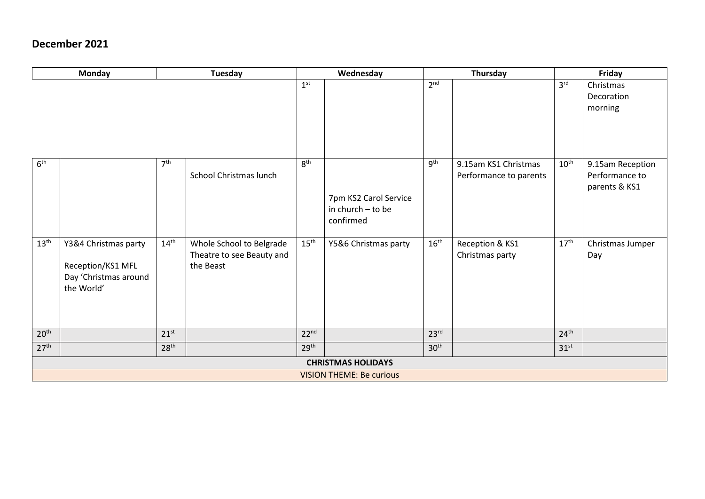#### **December 2021**

|                  | <b>Monday</b>                                                                    | <b>Tuesday</b>   |                                                                    |                  | Wednesday                                                 |                  | Thursday                                       | Friday           |                                                     |  |  |
|------------------|----------------------------------------------------------------------------------|------------------|--------------------------------------------------------------------|------------------|-----------------------------------------------------------|------------------|------------------------------------------------|------------------|-----------------------------------------------------|--|--|
|                  |                                                                                  |                  |                                                                    | 1 <sup>st</sup>  |                                                           | 2 <sup>nd</sup>  |                                                | 3 <sup>rd</sup>  | Christmas<br>Decoration<br>morning                  |  |  |
| 6 <sup>th</sup>  |                                                                                  | 7 <sup>th</sup>  | School Christmas lunch                                             | 8 <sup>th</sup>  | 7pm KS2 Carol Service<br>in church $-$ to be<br>confirmed | 9 <sup>th</sup>  | 9.15am KS1 Christmas<br>Performance to parents | $10^{\text{th}}$ | 9.15am Reception<br>Performance to<br>parents & KS1 |  |  |
| $13^{\text{th}}$ | Y3&4 Christmas party<br>Reception/KS1 MFL<br>Day 'Christmas around<br>the World' | $14^{\text{th}}$ | Whole School to Belgrade<br>Theatre to see Beauty and<br>the Beast | $15^{\text{th}}$ | Y5&6 Christmas party                                      | $16^{\text{th}}$ | Reception & KS1<br>Christmas party             | $17^{\text{th}}$ | Christmas Jumper<br>Day                             |  |  |
| 20 <sup>th</sup> |                                                                                  | 21 <sup>st</sup> |                                                                    | 22 <sup>nd</sup> |                                                           | 23 <sup>rd</sup> |                                                | 24 <sup>th</sup> |                                                     |  |  |
| 27 <sup>th</sup> |                                                                                  | 28 <sup>th</sup> |                                                                    | 29 <sup>th</sup> |                                                           | 30 <sup>th</sup> |                                                | 31 <sup>st</sup> |                                                     |  |  |
|                  | <b>CHRISTMAS HOLIDAYS</b>                                                        |                  |                                                                    |                  |                                                           |                  |                                                |                  |                                                     |  |  |
|                  |                                                                                  |                  |                                                                    |                  | <b>VISION THEME: Be curious</b>                           |                  |                                                |                  |                                                     |  |  |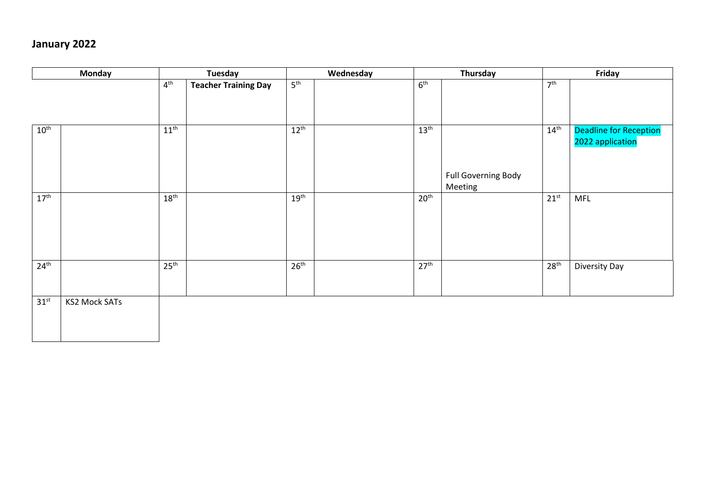# **January 2022**

| <b>Monday</b>    |                      |                  | <b>Tuesday</b>              |                  | Wednesday |                  | Thursday                              |                  | Friday                                            |  |
|------------------|----------------------|------------------|-----------------------------|------------------|-----------|------------------|---------------------------------------|------------------|---------------------------------------------------|--|
|                  |                      | $4^{\text{th}}$  | <b>Teacher Training Day</b> | 5 <sup>th</sup>  |           | 6 <sup>th</sup>  |                                       | 7 <sup>th</sup>  |                                                   |  |
| $10^{\text{th}}$ |                      | 11 <sup>th</sup> |                             | $12^{th}$        |           | $13^{\text{th}}$ | <b>Full Governing Body</b><br>Meeting | $14^{\text{th}}$ | <b>Deadline for Reception</b><br>2022 application |  |
| $17^{\text{th}}$ |                      | $18^{\text{th}}$ |                             | 19 <sup>th</sup> |           | 20 <sup>th</sup> |                                       | $21^{st}$        | <b>MFL</b>                                        |  |
| 24 <sup>th</sup> |                      | 25 <sup>th</sup> |                             | 26 <sup>th</sup> |           | 27 <sup>th</sup> |                                       | 28 <sup>th</sup> | Diversity Day                                     |  |
| $31^{st}$        | <b>KS2 Mock SATs</b> |                  |                             |                  |           |                  |                                       |                  |                                                   |  |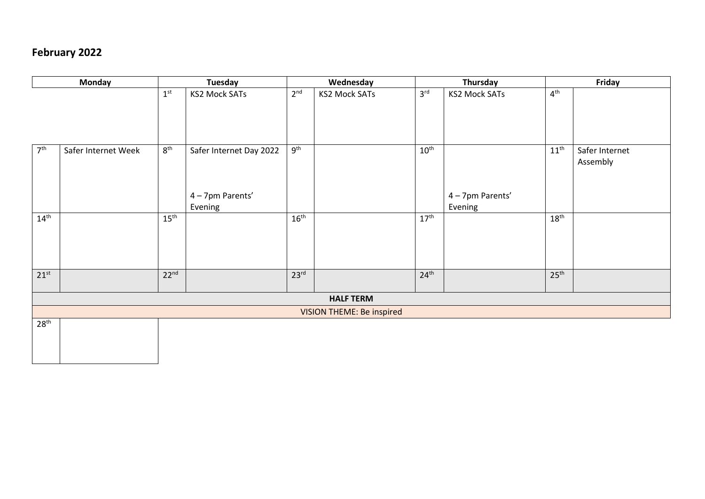# **February 2022**

|                  | <b>Monday</b>       |                  | <b>Tuesday</b>          |                  | Wednesday                 |                  | Thursday             | Friday           |                |  |  |  |
|------------------|---------------------|------------------|-------------------------|------------------|---------------------------|------------------|----------------------|------------------|----------------|--|--|--|
|                  |                     | 1 <sup>st</sup>  | <b>KS2 Mock SATs</b>    | 2 <sup>nd</sup>  | <b>KS2 Mock SATs</b>      | 3 <sup>rd</sup>  | <b>KS2 Mock SATs</b> | 4 <sup>th</sup>  |                |  |  |  |
|                  |                     |                  |                         |                  |                           |                  |                      |                  |                |  |  |  |
|                  |                     |                  |                         |                  |                           |                  |                      |                  |                |  |  |  |
| 7 <sup>th</sup>  | Safer Internet Week | $8^{\text{th}}$  | Safer Internet Day 2022 | 9 <sup>th</sup>  |                           | $10^{\text{th}}$ |                      | $11^{\text{th}}$ | Safer Internet |  |  |  |
|                  |                     |                  |                         |                  |                           |                  |                      |                  | Assembly       |  |  |  |
|                  |                     |                  |                         |                  |                           |                  |                      |                  |                |  |  |  |
|                  |                     |                  | 4-7pm Parents'          |                  |                           |                  | 4 - 7pm Parents'     |                  |                |  |  |  |
|                  |                     |                  | Evening                 |                  |                           |                  | Evening              |                  |                |  |  |  |
| $14^{\text{th}}$ |                     | $15^{\text{th}}$ |                         | $16^{\text{th}}$ |                           | 17 <sup>th</sup> |                      | 18 <sup>th</sup> |                |  |  |  |
|                  |                     |                  |                         |                  |                           |                  |                      |                  |                |  |  |  |
|                  |                     |                  |                         |                  |                           |                  |                      |                  |                |  |  |  |
|                  |                     |                  |                         |                  |                           |                  |                      |                  |                |  |  |  |
| $21^{st}$        |                     | 22 <sup>nd</sup> |                         | 23 <sup>rd</sup> |                           | 24 <sup>th</sup> |                      | 25 <sup>th</sup> |                |  |  |  |
|                  |                     |                  |                         |                  |                           |                  |                      |                  |                |  |  |  |
|                  | <b>HALF TERM</b>    |                  |                         |                  |                           |                  |                      |                  |                |  |  |  |
|                  |                     |                  |                         |                  | VISION THEME: Be inspired |                  |                      |                  |                |  |  |  |
| 28 <sup>th</sup> |                     |                  |                         |                  |                           |                  |                      |                  |                |  |  |  |
|                  |                     |                  |                         |                  |                           |                  |                      |                  |                |  |  |  |
|                  |                     |                  |                         |                  |                           |                  |                      |                  |                |  |  |  |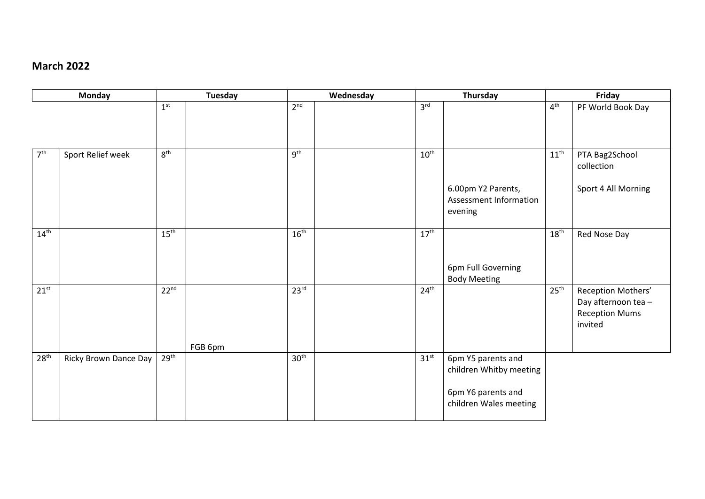#### **March 2022**

|                  | <b>Monday</b>         |                  | <b>Tuesday</b> |                  | Wednesday |                  | Thursday                                      |                  | Friday                                      |  |  |
|------------------|-----------------------|------------------|----------------|------------------|-----------|------------------|-----------------------------------------------|------------------|---------------------------------------------|--|--|
|                  |                       | 1 <sup>st</sup>  |                | 2 <sup>nd</sup>  |           | 3 <sup>rd</sup>  |                                               | 4 <sup>th</sup>  | PF World Book Day                           |  |  |
|                  |                       |                  |                |                  |           |                  |                                               |                  |                                             |  |  |
|                  |                       |                  |                |                  |           |                  |                                               |                  |                                             |  |  |
| 7 <sup>th</sup>  | Sport Relief week     | 8 <sup>th</sup>  |                | 9 <sup>th</sup>  |           | $10^{\text{th}}$ |                                               | $11^{\text{th}}$ | PTA Bag2School                              |  |  |
|                  |                       |                  |                |                  |           |                  |                                               |                  | collection                                  |  |  |
|                  |                       |                  |                |                  |           |                  | 6.00pm Y2 Parents,                            |                  | Sport 4 All Morning                         |  |  |
|                  |                       |                  |                |                  |           |                  | Assessment Information                        |                  |                                             |  |  |
|                  |                       |                  |                |                  |           |                  | evening                                       |                  |                                             |  |  |
| $14^{\text{th}}$ |                       | $15^{\text{th}}$ |                | $16^{\text{th}}$ |           | $17^{\text{th}}$ |                                               | $18^{\rm th}$    | Red Nose Day                                |  |  |
|                  |                       |                  |                |                  |           |                  |                                               |                  |                                             |  |  |
|                  |                       |                  |                |                  |           |                  | 6pm Full Governing                            |                  |                                             |  |  |
|                  |                       |                  |                |                  |           |                  | <b>Body Meeting</b>                           |                  |                                             |  |  |
| $21^{st}$        |                       | 22 <sup>nd</sup> |                | 23 <sup>rd</sup> |           | 24 <sup>th</sup> |                                               | 25 <sup>th</sup> | Reception Mothers'                          |  |  |
|                  |                       |                  |                |                  |           |                  |                                               |                  | Day afternoon tea-<br><b>Reception Mums</b> |  |  |
|                  |                       |                  |                |                  |           |                  |                                               |                  | invited                                     |  |  |
|                  |                       |                  |                |                  |           |                  |                                               |                  |                                             |  |  |
| 28 <sup>th</sup> |                       | 29 <sup>th</sup> | FGB 6pm        | 30 <sup>th</sup> |           | 31 <sup>st</sup> |                                               |                  |                                             |  |  |
|                  | Ricky Brown Dance Day |                  |                |                  |           |                  | 6pm Y5 parents and<br>children Whitby meeting |                  |                                             |  |  |
|                  |                       |                  |                |                  |           |                  |                                               |                  |                                             |  |  |
|                  |                       |                  |                |                  |           |                  | 6pm Y6 parents and                            |                  |                                             |  |  |
|                  |                       |                  |                |                  |           |                  | children Wales meeting                        |                  |                                             |  |  |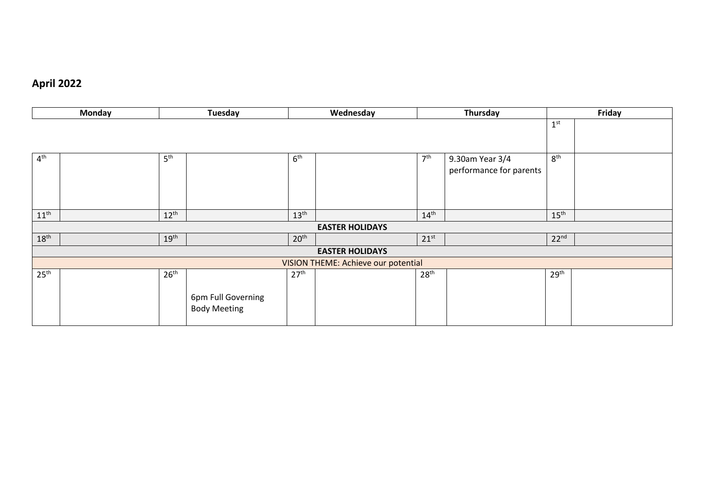# **April 2022**

| Monday           |  |                  | Tuesday             |                  | Wednesday                           | Thursday         |                         |                  | Friday |
|------------------|--|------------------|---------------------|------------------|-------------------------------------|------------------|-------------------------|------------------|--------|
|                  |  |                  |                     |                  |                                     |                  |                         | 1 <sup>st</sup>  |        |
|                  |  |                  |                     |                  |                                     |                  |                         |                  |        |
| $4^{\text{th}}$  |  | 5 <sup>th</sup>  |                     | 6 <sup>th</sup>  |                                     | 7 <sup>th</sup>  | 9.30am Year 3/4         | 8 <sup>th</sup>  |        |
|                  |  |                  |                     |                  |                                     |                  | performance for parents |                  |        |
|                  |  |                  |                     |                  |                                     |                  |                         |                  |        |
|                  |  |                  |                     |                  |                                     |                  |                         |                  |        |
| $11^{\text{th}}$ |  | $12^{\text{th}}$ |                     | $13^{\text{th}}$ |                                     | $14^{\text{th}}$ |                         | $15^{\text{th}}$ |        |
|                  |  |                  |                     |                  | <b>EASTER HOLIDAYS</b>              |                  |                         |                  |        |
| $18^{\text{th}}$ |  | $19^{\text{th}}$ |                     | 20 <sup>th</sup> |                                     | $21^{st}$        |                         | 22 <sup>nd</sup> |        |
|                  |  |                  |                     |                  | <b>EASTER HOLIDAYS</b>              |                  |                         |                  |        |
|                  |  |                  |                     |                  | VISION THEME: Achieve our potential |                  |                         |                  |        |
| 25 <sup>th</sup> |  | 26 <sup>th</sup> |                     | 27 <sup>th</sup> |                                     | 28 <sup>th</sup> |                         | 29 <sup>th</sup> |        |
|                  |  |                  |                     |                  |                                     |                  |                         |                  |        |
|                  |  |                  | 6pm Full Governing  |                  |                                     |                  |                         |                  |        |
|                  |  |                  | <b>Body Meeting</b> |                  |                                     |                  |                         |                  |        |
|                  |  |                  |                     |                  |                                     |                  |                         |                  |        |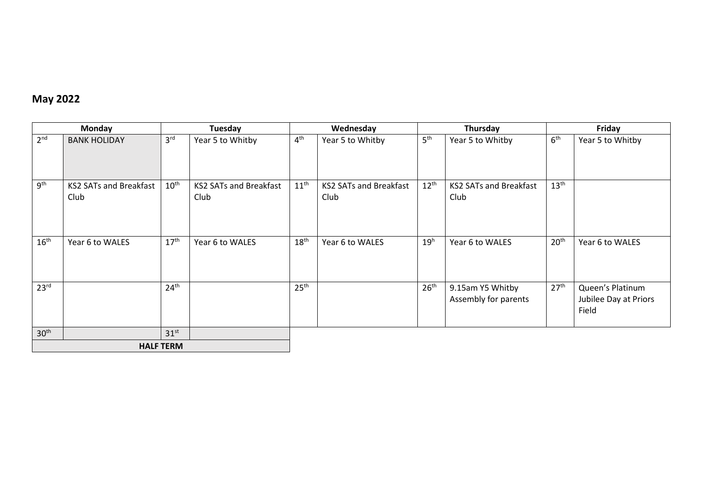# **May 2022**

|                  | <b>Monday</b>                         |                  | Tuesday                               |                  | Wednesday                             |                  | Thursday                                 | Friday           |                                                    |
|------------------|---------------------------------------|------------------|---------------------------------------|------------------|---------------------------------------|------------------|------------------------------------------|------------------|----------------------------------------------------|
| 2 <sup>nd</sup>  | <b>BANK HOLIDAY</b>                   | 3 <sup>rd</sup>  | Year 5 to Whitby                      | 4 <sup>th</sup>  | Year 5 to Whitby                      | 5 <sup>th</sup>  | Year 5 to Whitby                         | 6 <sup>th</sup>  | Year 5 to Whitby                                   |
| 9 <sup>th</sup>  | <b>KS2 SATs and Breakfast</b><br>Club | $10^{\text{th}}$ | <b>KS2 SATs and Breakfast</b><br>Club | $11^{\text{th}}$ | <b>KS2 SATs and Breakfast</b><br>Club | $12^{\text{th}}$ | <b>KS2 SATs and Breakfast</b><br>Club    | $13^{\text{th}}$ |                                                    |
| $16^{\text{th}}$ | Year 6 to WALES                       | 17 <sup>th</sup> | Year 6 to WALES                       | 18 <sup>th</sup> | Year 6 to WALES                       | 19 <sup>h</sup>  | Year 6 to WALES                          | 20 <sup>th</sup> | Year 6 to WALES                                    |
| 23 <sup>rd</sup> |                                       | 24 <sup>th</sup> |                                       | 25 <sup>th</sup> |                                       | 26 <sup>th</sup> | 9.15am Y5 Whitby<br>Assembly for parents | 27 <sup>th</sup> | Queen's Platinum<br>Jubilee Day at Priors<br>Field |
| 30 <sup>th</sup> | 31 <sup>st</sup>                      |                  |                                       |                  |                                       |                  |                                          |                  |                                                    |
|                  | <b>HALF TERM</b>                      |                  |                                       |                  |                                       |                  |                                          |                  |                                                    |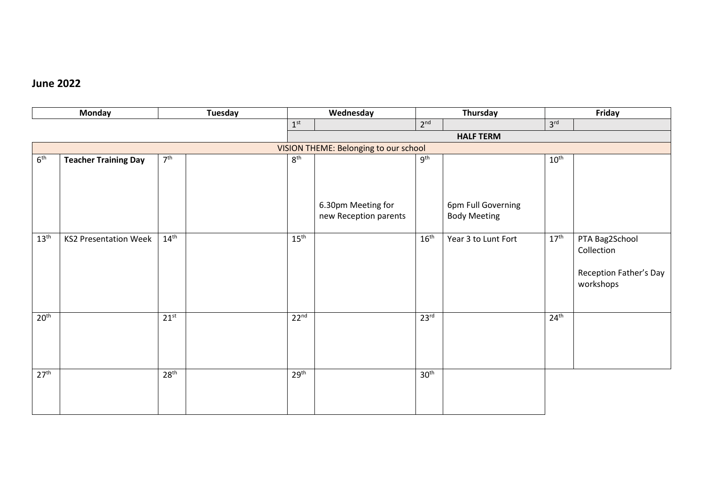#### **June 2022**

|                  | <b>Monday</b>                |                  | <b>Tuesday</b> |                  | Wednesday                             |                  | Thursday            |                  | Friday                 |  |
|------------------|------------------------------|------------------|----------------|------------------|---------------------------------------|------------------|---------------------|------------------|------------------------|--|
|                  |                              |                  |                | 1 <sup>st</sup>  |                                       | 2 <sup>nd</sup>  |                     | 3 <sup>rd</sup>  |                        |  |
|                  |                              |                  |                |                  |                                       |                  | <b>HALF TERM</b>    |                  |                        |  |
|                  |                              |                  |                |                  | VISION THEME: Belonging to our school |                  |                     |                  |                        |  |
| 6 <sup>th</sup>  | <b>Teacher Training Day</b>  | 7 <sup>th</sup>  |                | 8 <sup>th</sup>  |                                       | 9 <sup>th</sup>  |                     | $10^{\text{th}}$ |                        |  |
|                  |                              |                  |                |                  |                                       |                  |                     |                  |                        |  |
|                  |                              |                  |                |                  |                                       |                  |                     |                  |                        |  |
|                  |                              |                  |                |                  |                                       |                  |                     |                  |                        |  |
|                  |                              |                  |                |                  | 6.30pm Meeting for                    |                  | 6pm Full Governing  |                  |                        |  |
|                  |                              |                  |                |                  | new Reception parents                 |                  | <b>Body Meeting</b> |                  |                        |  |
| $13^{\text{th}}$ | <b>KS2 Presentation Week</b> | $14^{\text{th}}$ |                | $15^{\text{th}}$ |                                       | $16^{\text{th}}$ | Year 3 to Lunt Fort | $17^{\text{th}}$ | PTA Bag2School         |  |
|                  |                              |                  |                |                  |                                       |                  |                     |                  | Collection             |  |
|                  |                              |                  |                |                  |                                       |                  |                     |                  |                        |  |
|                  |                              |                  |                |                  |                                       |                  |                     |                  | Reception Father's Day |  |
|                  |                              |                  |                |                  |                                       |                  |                     |                  | workshops              |  |
|                  |                              |                  |                |                  |                                       |                  |                     |                  |                        |  |
|                  |                              |                  |                |                  |                                       |                  |                     |                  |                        |  |
| 20 <sup>th</sup> |                              | $21^{st}$        |                | 22 <sup>nd</sup> |                                       | 23 <sup>rd</sup> |                     | 24 <sup>th</sup> |                        |  |
|                  |                              |                  |                |                  |                                       |                  |                     |                  |                        |  |
|                  |                              |                  |                |                  |                                       |                  |                     |                  |                        |  |
|                  |                              |                  |                |                  |                                       |                  |                     |                  |                        |  |
| 27 <sup>th</sup> |                              | 28 <sup>th</sup> |                | 29 <sup>th</sup> |                                       | 30 <sup>th</sup> |                     |                  |                        |  |
|                  |                              |                  |                |                  |                                       |                  |                     |                  |                        |  |
|                  |                              |                  |                |                  |                                       |                  |                     |                  |                        |  |
|                  |                              |                  |                |                  |                                       |                  |                     |                  |                        |  |